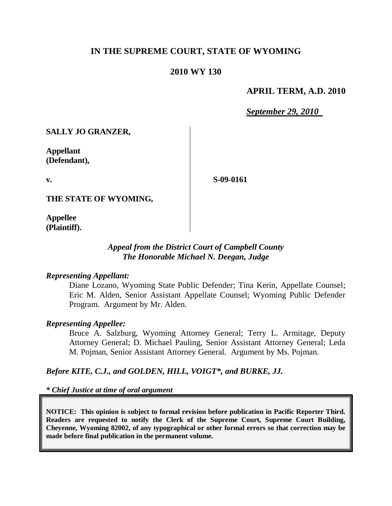# **IN THE SUPREME COURT, STATE OF WYOMING**

### **2010 WY 130**

### **APRIL TERM, A.D. 2010**

*September 29, 2010*

**SALLY JO GRANZER,**

**Appellant (Defendant),**

**v.**

**S-09-0161**

**THE STATE OF WYOMING,**

**Appellee (Plaintiff).**

## *Appeal from the District Court of Campbell County The Honorable Michael N. Deegan, Judge*

#### *Representing Appellant:*

Diane Lozano, Wyoming State Public Defender; Tina Kerin, Appellate Counsel; Eric M. Alden, Senior Assistant Appellate Counsel; Wyoming Public Defender Program. Argument by Mr. Alden.

#### *Representing Appellee:*

Bruce A. Salzburg, Wyoming Attorney General; Terry L. Armitage, Deputy Attorney General; D. Michael Pauling, Senior Assistant Attorney General; Leda M. Pojman, Senior Assistant Attorney General. Argument by Ms. Pojman.

## *Before KITE, C.J., and GOLDEN, HILL, VOIGT\*, and BURKE, JJ.*

*\* Chief Justice at time of oral argument*

**NOTICE: This opinion is subject to formal revision before publication in Pacific Reporter Third. Readers are requested to notify the Clerk of the Supreme Court, Supreme Court Building, Cheyenne, Wyoming 82002, of any typographical or other formal errors so that correction may be made before final publication in the permanent volume.**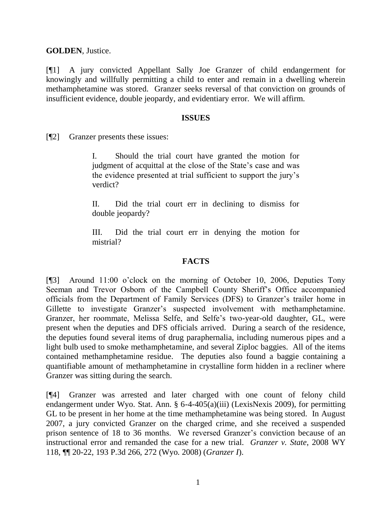**GOLDEN**, Justice.

[¶1] A jury convicted Appellant Sally Joe Granzer of child endangerment for knowingly and willfully permitting a child to enter and remain in a dwelling wherein methamphetamine was stored. Granzer seeks reversal of that conviction on grounds of insufficient evidence, double jeopardy, and evidentiary error. We will affirm.

#### **ISSUES**

[¶2] Granzer presents these issues:

I. Should the trial court have granted the motion for judgment of acquittal at the close of the State's case and was the evidence presented at trial sufficient to support the jury's verdict?

II. Did the trial court err in declining to dismiss for double jeopardy?

III. Did the trial court err in denying the motion for mistrial?

#### **FACTS**

[¶3] Around 11:00 o'clock on the morning of October 10, 2006, Deputies Tony Seeman and Trevor Osborn of the Campbell County Sheriff's Office accompanied officials from the Department of Family Services (DFS) to Granzer's trailer home in Gillette to investigate Granzer's suspected involvement with methamphetamine. Granzer, her roommate, Melissa Selfe, and Selfe's two-year-old daughter, GL, were present when the deputies and DFS officials arrived. During a search of the residence, the deputies found several items of drug paraphernalia, including numerous pipes and a light bulb used to smoke methamphetamine, and several Ziploc baggies. All of the items contained methamphetamine residue. The deputies also found a baggie containing a quantifiable amount of methamphetamine in crystalline form hidden in a recliner where Granzer was sitting during the search.

[¶4] Granzer was arrested and later charged with one count of felony child endangerment under Wyo. Stat. Ann. § 6-4-405(a)(iii) (LexisNexis 2009), for permitting GL to be present in her home at the time methamphetamine was being stored. In August 2007, a jury convicted Granzer on the charged crime, and she received a suspended prison sentence of 18 to 36 months. We reversed Granzer's conviction because of an instructional error and remanded the case for a new trial. *Granzer v. State*, 2008 WY 118, ¶¶ 20-22, 193 P.3d 266, 272 (Wyo. 2008) (*Granzer I*).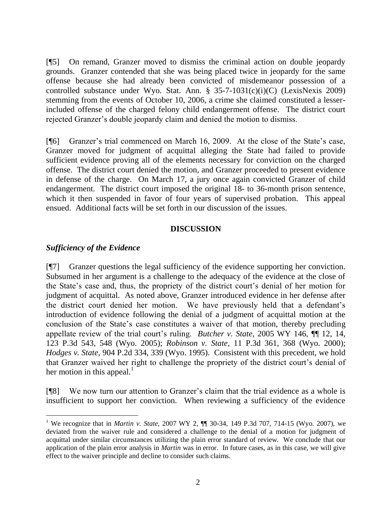[¶5] On remand, Granzer moved to dismiss the criminal action on double jeopardy grounds. Granzer contended that she was being placed twice in jeopardy for the same offense because she had already been convicted of misdemeanor possession of a controlled substance under Wyo. Stat. Ann. § 35-7-1031(c)(i)(C) (LexisNexis 2009) stemming from the events of October 10, 2006, a crime she claimed constituted a lesserincluded offense of the charged felony child endangerment offense. The district court rejected Granzer's double jeopardy claim and denied the motion to dismiss.

[¶6] Granzer's trial commenced on March 16, 2009. At the close of the State's case, Granzer moved for judgment of acquittal alleging the State had failed to provide sufficient evidence proving all of the elements necessary for conviction on the charged offense. The district court denied the motion, and Granzer proceeded to present evidence in defense of the charge. On March 17, a jury once again convicted Granzer of child endangerment. The district court imposed the original 18- to 36-month prison sentence, which it then suspended in favor of four years of supervised probation. This appeal ensued. Additional facts will be set forth in our discussion of the issues.

#### **DISCUSSION**

### *Sufficiency of the Evidence*

 $\overline{a}$ 

[¶7] Granzer questions the legal sufficiency of the evidence supporting her conviction. Subsumed in her argument is a challenge to the adequacy of the evidence at the close of the State's case and, thus, the propriety of the district court's denial of her motion for judgment of acquittal. As noted above, Granzer introduced evidence in her defense after the district court denied her motion. We have previously held that a defendant's introduction of evidence following the denial of a judgment of acquittal motion at the conclusion of the State's case constitutes a waiver of that motion, thereby precluding appellate review of the trial court's ruling. *Butcher v. State*, 2005 WY 146, ¶¶ 12, 14, 123 P.3d 543, 548 (Wyo. 2005); *Robinson v. State*, 11 P.3d 361, 368 (Wyo. 2000); *Hodges v. State*, 904 P.2d 334, 339 (Wyo. 1995). Consistent with this precedent, we hold that Granzer waived her right to challenge the propriety of the district court's denial of her motion in this appeal. $\frac{1}{1}$ 

[¶8] We now turn our attention to Granzer's claim that the trial evidence as a whole is insufficient to support her conviction. When reviewing a sufficiency of the evidence

<sup>1</sup> We recognize that in *Martin v. State*, 2007 WY 2, ¶¶ 30-34, 149 P.3d 707, 714-15 (Wyo. 2007), we deviated from the waiver rule and considered a challenge to the denial of a motion for judgment of acquittal under similar circumstances utilizing the plain error standard of review. We conclude that our application of the plain error analysis in *Martin* was in error. In future cases, as in this case, we will give effect to the waiver principle and decline to consider such claims.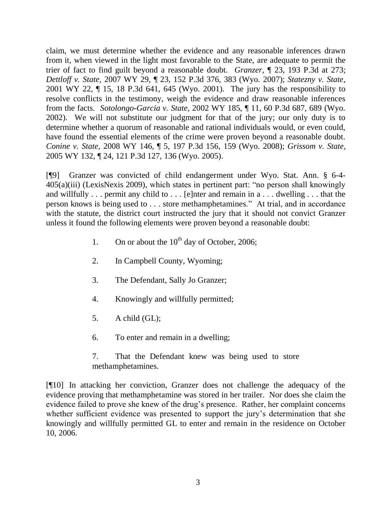claim, we must determine whether the evidence and any reasonable inferences drawn from it, when viewed in the light most favorable to the State, are adequate to permit the trier of fact to find guilt beyond a reasonable doubt. *Granzer*, ¶ 23, 193 P.3d at 273; *Dettloff v. State,* 2007 WY 29, ¶ 23, 152 P.3d 376, 383 (Wyo. 2007); *Statezny v. State*, 2001 WY 22, ¶ 15, 18 P.3d 641, 645 (Wyo. 2001). The jury has the responsibility to resolve conflicts in the testimony, weigh the evidence and draw reasonable inferences from the facts. *Sotolongo-Garcia v. State,* 2002 WY 185, ¶ 11, 60 P.3d 687, 689 (Wyo. 2002). We will not substitute our judgment for that of the jury; our only duty is to determine whether a quorum of reasonable and rational individuals would, or even could, have found the essential elements of the crime were proven beyond a reasonable doubt. *Conine v. State,* 2008 WY 146, ¶ 5, 197 P.3d 156, 159 (Wyo. 2008); *Grissom v. State,* 2005 WY 132, ¶ 24, 121 P.3d 127, 136 (Wyo. 2005).

[¶9] Granzer was convicted of child endangerment under Wyo. Stat. Ann. § 6-4- 405(a)(iii) (LexisNexis 2009), which states in pertinent part: "no person shall knowingly and willfully . . . permit any child to . . . [e]nter and remain in a . . . dwelling . . . that the person knows is being used to . . . store methamphetamines." At trial, and in accordance with the statute, the district court instructed the jury that it should not convict Granzer unless it found the following elements were proven beyond a reasonable doubt:

- 1. On or about the  $10^{th}$  day of October, 2006;
- 2. In Campbell County, Wyoming;
- 3. The Defendant, Sally Jo Granzer;
- 4. Knowingly and willfully permitted;
- 5. A child (GL);
- 6. To enter and remain in a dwelling;
- 7. That the Defendant knew was being used to store methamphetamines.

[¶10] In attacking her conviction, Granzer does not challenge the adequacy of the evidence proving that methamphetamine was stored in her trailer. Nor does she claim the evidence failed to prove she knew of the drug's presence. Rather, her complaint concerns whether sufficient evidence was presented to support the jury's determination that she knowingly and willfully permitted GL to enter and remain in the residence on October 10, 2006.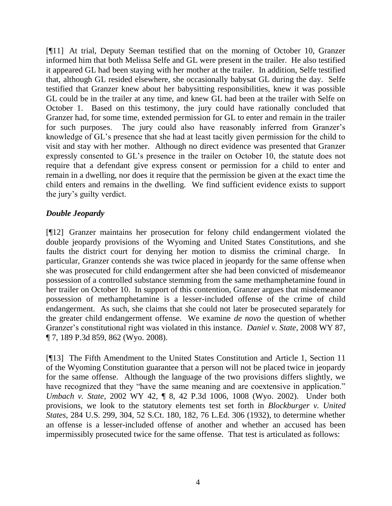[¶11] At trial, Deputy Seeman testified that on the morning of October 10, Granzer informed him that both Melissa Selfe and GL were present in the trailer. He also testified it appeared GL had been staying with her mother at the trailer. In addition, Selfe testified that, although GL resided elsewhere, she occasionally babysat GL during the day. Selfe testified that Granzer knew about her babysitting responsibilities, knew it was possible GL could be in the trailer at any time, and knew GL had been at the trailer with Selfe on October 1. Based on this testimony, the jury could have rationally concluded that Granzer had, for some time, extended permission for GL to enter and remain in the trailer for such purposes. The jury could also have reasonably inferred from Granzer's knowledge of GL's presence that she had at least tacitly given permission for the child to visit and stay with her mother. Although no direct evidence was presented that Granzer expressly consented to GL's presence in the trailer on October 10, the statute does not require that a defendant give express consent or permission for a child to enter and remain in a dwelling, nor does it require that the permission be given at the exact time the child enters and remains in the dwelling. We find sufficient evidence exists to support the jury's guilty verdict.

## *Double Jeopardy*

[¶12] Granzer maintains her prosecution for felony child endangerment violated the double jeopardy provisions of the Wyoming and United States Constitutions, and she faults the district court for denying her motion to dismiss the criminal charge. particular, Granzer contends she was twice placed in jeopardy for the same offense when she was prosecuted for child endangerment after she had been convicted of misdemeanor possession of a controlled substance stemming from the same methamphetamine found in her trailer on October 10. In support of this contention, Granzer argues that misdemeanor possession of methamphetamine is a lesser-included offense of the crime of child endangerment. As such, she claims that she could not later be prosecuted separately for the greater child endangerment offense. We examine *de novo* the question of whether Granzer's constitutional right was violated in this instance. *Daniel v. State*, 2008 WY 87, ¶ 7, 189 P.3d 859, 862 (Wyo. 2008).

[¶13] The Fifth Amendment to the United States Constitution and Article 1, Section 11 of the Wyoming Constitution guarantee that a person will not be placed twice in jeopardy for the same offense. Although the language of the two provisions differs slightly, we have recognized that they "have the same meaning and are coextensive in application." *Umbach v. State*, 2002 WY 42, ¶ 8, 42 P.3d 1006, 1008 (Wyo. 2002). Under both provisions, we look to the statutory elements test set forth in *Blockburger v. United States*, 284 U.S. 299, 304, 52 S.Ct. 180, 182, 76 L.Ed. 306 (1932), to determine whether an offense is a lesser-included offense of another and whether an accused has been impermissibly prosecuted twice for the same offense. That test is articulated as follows: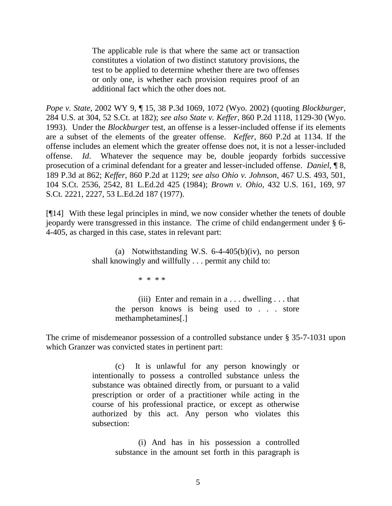The applicable rule is that where the same act or transaction constitutes a violation of two distinct statutory provisions, the test to be applied to determine whether there are two offenses or only one, is whether each provision requires proof of an additional fact which the other does not.

*Pope v. State*, 2002 WY 9, ¶ 15, 38 P.3d 1069, 1072 (Wyo. 2002) (quoting *Blockburger*, 284 U.S. at 304, 52 S.Ct. at 182); *see also State v. Keffer*, 860 P.2d 1118, 1129-30 (Wyo. 1993). Under the *Blockburger* test, an offense is a lesser-included offense if its elements are a subset of the elements of the greater offense. *Keffer*, 860 P.2d at 1134. If the offense includes an element which the greater offense does not, it is not a lesser-included offense. *Id*. Whatever the sequence may be, double jeopardy forbids successive prosecution of a criminal defendant for a greater and lesser-included offense. *Daniel*, ¶ 8, 189 P.3d at 862; *Keffer*, 860 P.2d at 1129; *see also Ohio v. Johnson*, 467 U.S. 493, 501, 104 S.Ct. 2536, 2542, 81 L.Ed.2d 425 (1984); *Brown v. Ohio*, 432 U.S. 161, 169, 97 S.Ct. 2221, 2227, 53 L.Ed.2d 187 (1977).

[¶14] With these legal principles in mind, we now consider whether the tenets of double jeopardy were transgressed in this instance. The crime of child endangerment under § 6- 4-405, as charged in this case, states in relevant part:

> (a) Notwithstanding W.S. 6-4-405(b)(iv), no person shall knowingly and willfully . . . permit any child to:

> > \* \* \* \*

(iii) Enter and remain in  $a \dots$  dwelling  $\dots$  that the person knows is being used to . . . store methamphetamines[.]

The crime of misdemeanor possession of a controlled substance under § 35-7-1031 upon which Granzer was convicted states in pertinent part:

> (c) It is unlawful for any person knowingly or intentionally to possess a controlled substance unless the substance was obtained directly from, or pursuant to a valid prescription or order of a practitioner while acting in the course of his professional practice, or except as otherwise authorized by this act. Any person who violates this subsection:

> > (i) And has in his possession a controlled substance in the amount set forth in this paragraph is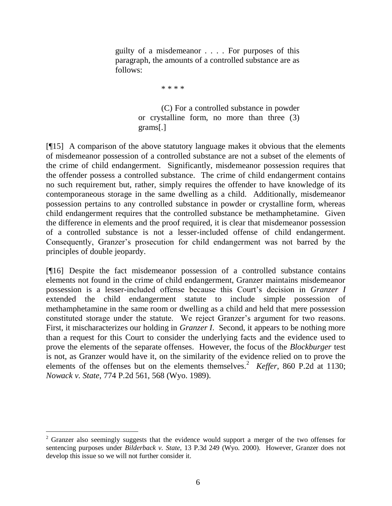guilty of a misdemeanor . . . . For purposes of this paragraph, the amounts of a controlled substance are as follows:

\* \* \* \*

(C) For a controlled substance in powder or crystalline form, no more than three (3) grams[.]

[¶15] A comparison of the above statutory language makes it obvious that the elements of misdemeanor possession of a controlled substance are not a subset of the elements of the crime of child endangerment. Significantly, misdemeanor possession requires that the offender possess a controlled substance. The crime of child endangerment contains no such requirement but, rather, simply requires the offender to have knowledge of its contemporaneous storage in the same dwelling as a child. Additionally, misdemeanor possession pertains to any controlled substance in powder or crystalline form, whereas child endangerment requires that the controlled substance be methamphetamine. Given the difference in elements and the proof required, it is clear that misdemeanor possession of a controlled substance is not a lesser-included offense of child endangerment. Consequently, Granzer's prosecution for child endangerment was not barred by the principles of double jeopardy.

[¶16] Despite the fact misdemeanor possession of a controlled substance contains elements not found in the crime of child endangerment, Granzer maintains misdemeanor possession is a lesser-included offense because this Court's decision in *Granzer I* extended the child endangerment statute to include simple possession of methamphetamine in the same room or dwelling as a child and held that mere possession constituted storage under the statute. We reject Granzer's argument for two reasons. First, it mischaracterizes our holding in *Granzer I*. Second, it appears to be nothing more than a request for this Court to consider the underlying facts and the evidence used to prove the elements of the separate offenses. However, the focus of the *Blockburger* test is not, as Granzer would have it, on the similarity of the evidence relied on to prove the elements of the offenses but on the elements themselves.<sup>2</sup> *Keffer*, 860 P.2d at 1130; *Nowack v. State*, 774 P.2d 561, 568 (Wyo. 1989).

 $\overline{a}$ 

 $2\sigma$  Granzer also seemingly suggests that the evidence would support a merger of the two offenses for sentencing purposes under *Bilderback v. State*, 13 P.3d 249 (Wyo. 2000). However, Granzer does not develop this issue so we will not further consider it.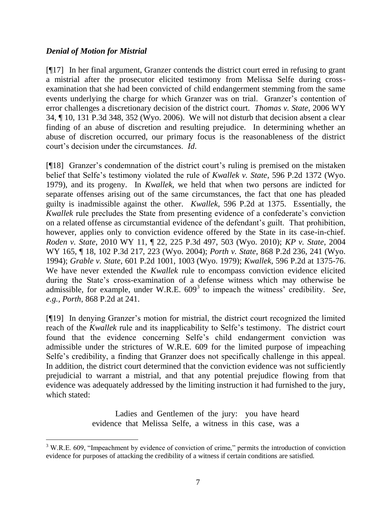## *Denial of Motion for Mistrial*

 $\overline{a}$ 

[¶17] In her final argument, Granzer contends the district court erred in refusing to grant a mistrial after the prosecutor elicited testimony from Melissa Selfe during crossexamination that she had been convicted of child endangerment stemming from the same events underlying the charge for which Granzer was on trial. Granzer's contention of error challenges a discretionary decision of the district court. *Thomas v. State*, 2006 WY 34, ¶ 10, 131 P.3d 348, 352 (Wyo. 2006). We will not disturb that decision absent a clear finding of an abuse of discretion and resulting prejudice. In determining whether an abuse of discretion occurred, our primary focus is the reasonableness of the district court's decision under the circumstances. *Id*.

[¶18] Granzer's condemnation of the district court's ruling is premised on the mistaken belief that Selfe's testimony violated the rule of *Kwallek v. State*, 596 P.2d 1372 (Wyo. 1979), and its progeny. In *Kwallek*, we held that when two persons are indicted for separate offenses arising out of the same circumstances, the fact that one has pleaded guilty is inadmissible against the other. *Kwallek*, 596 P.2d at 1375. Essentially, the *Kwallek* rule precludes the State from presenting evidence of a confederate's conviction on a related offense as circumstantial evidence of the defendant's guilt. That prohibition, however, applies only to conviction evidence offered by the State in its case-in-chief. *Roden v. State*, 2010 WY 11, ¶ 22, 225 P.3d 497, 503 (Wyo. 2010); *KP v. State*, 2004 WY 165, ¶ 18, 102 P.3d 217, 223 (Wyo. 2004); *Porth v. State*, 868 P.2d 236, 241 (Wyo. 1994); *Grable v. State*, 601 P.2d 1001, 1003 (Wyo. 1979); *Kwallek*, 596 P.2d at 1375-76. We have never extended the *Kwallek* rule to encompass conviction evidence elicited during the State's cross-examination of a defense witness which may otherwise be admissible, for example, under W.R.E. 609<sup>3</sup> to impeach the witness' credibility. *See*, *e.g., Porth*, 868 P.2d at 241.

[¶19] In denying Granzer's motion for mistrial, the district court recognized the limited reach of the *Kwallek* rule and its inapplicability to Selfe's testimony. The district court found that the evidence concerning Selfe's child endangerment conviction was admissible under the strictures of W.R.E. 609 for the limited purpose of impeaching Selfe's credibility, a finding that Granzer does not specifically challenge in this appeal. In addition, the district court determined that the conviction evidence was not sufficiently prejudicial to warrant a mistrial, and that any potential prejudice flowing from that evidence was adequately addressed by the limiting instruction it had furnished to the jury, which stated:

> Ladies and Gentlemen of the jury: you have heard evidence that Melissa Selfe, a witness in this case, was a

<sup>&</sup>lt;sup>3</sup> W.R.E. 609, "Impeachment by evidence of conviction of crime," permits the introduction of conviction evidence for purposes of attacking the credibility of a witness if certain conditions are satisfied.